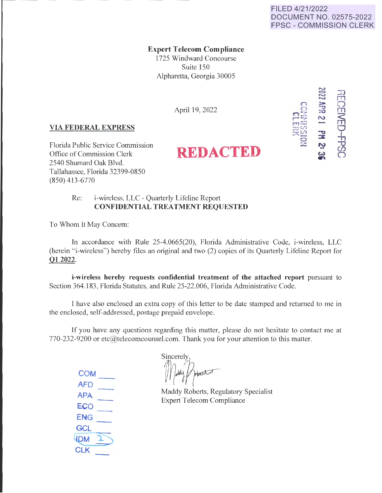## FILED 4/21/2022 DOCUMENT NO. 02575-2022 FPSC - COMMISSION CLERK

**Expert Telecom Compliance** 

1725 Windward Concourse Suite 150 Alpharetta, Georgia 30005

April 19, 2022

## **VIA FEDERAL EXPRESS**

Florida Public Service Commission Office of Commission Clerk **REDACTED** 2540 Shumard Oak Blvd. Tallahassee, Florida 32399-0850 (850) 413-6770



## Re: i-wireless, LLC - Quarterly Lifeline Report **CONFIDENTIAL TREATMENT REQUESTED**

To Whom lt May Concern:

In accordance with Rule 25-4.0665(20), Florida Administrative Code, i-wireless, LLC (herein "i-wireless") hereby files an original and two (2) copies of its Quarterly Lifeline Report for **012022.** 

**i-wireless hereby requests confidential treatment of the attached report** pursuant to Section 364.183, Florida Statutes, and Rule 25-22.006, Florida Administrative Code.

T have also enclosed an extra copy of this letter to be date stamped and returned to me in the enclosed, self-addressed, postage prepaid envelope.

If you have any questions regarding this matter, please do not hesitate to contact me at 770-232-9200 or etc@telecomcounsel.com. Thank you for your attention to this matter.

**COM AFD APA ECO ENG GCL ENG**<br> **GCL**<br> **CLK**<br>
<br>
<br> **CLK** 

**Sincerely** Mady Potoster<br>Maddy Roberts, Regulatory Specialist

Expert Telecom Compliance